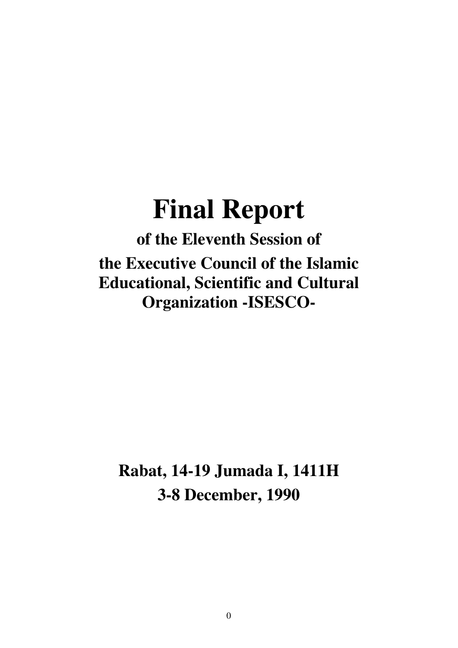# **Final Report**

**of the Eleventh Session of the Executive Council of the Islamic Educational, Scientific and Cultural Organization -ISESCO-**

**Rabat, 14-19 Jumada I, 1411H 3-8 December, 1990**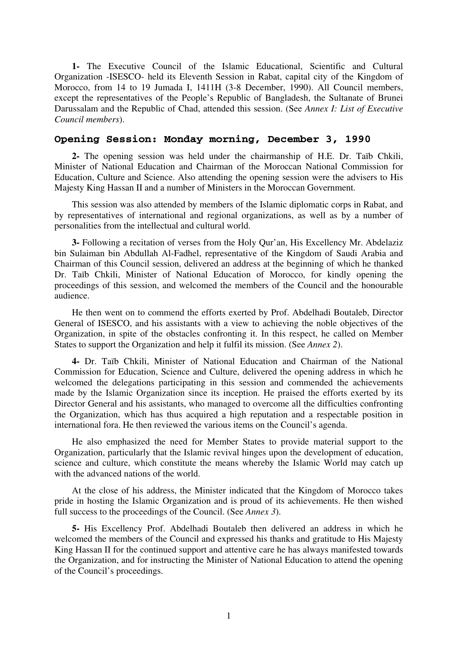**1-** The Executive Council of the Islamic Educational, Scientific and Cultural Organization -ISESCO- held its Eleventh Session in Rabat, capital city of the Kingdom of Morocco, from 14 to 19 Jumada I, 1411H (3-8 December, 1990). All Council members, except the representatives of the People's Republic of Bangladesh, the Sultanate of Brunei Darussalam and the Republic of Chad, attended this session. (See *Annex I: List of Executive Council members*).

# **Opening Session: Monday morning, December 3, 1990**

**2-** The opening session was held under the chairmanship of H.E. Dr. Taïb Chkili, Minister of National Education and Chairman of the Moroccan National Commission for Education, Culture and Science. Also attending the opening session were the advisers to His Majesty King Hassan II and a number of Ministers in the Moroccan Government.

This session was also attended by members of the Islamic diplomatic corps in Rabat, and by representatives of international and regional organizations, as well as by a number of personalities from the intellectual and cultural world.

**3-** Following a recitation of verses from the Holy Qur'an, His Excellency Mr. Abdelaziz bin Sulaiman bin Abdullah Al-Fadhel, representative of the Kingdom of Saudi Arabia and Chairman of this Council session, delivered an address at the beginning of which he thanked Dr. Taïb Chkili, Minister of National Education of Morocco, for kindly opening the proceedings of this session, and welcomed the members of the Council and the honourable audience.

He then went on to commend the efforts exerted by Prof. Abdelhadi Boutaleb, Director General of ISESCO, and his assistants with a view to achieving the noble objectives of the Organization, in spite of the obstacles confronting it. In this respect, he called on Member States to support the Organization and help it fulfil its mission. (See *Annex 2*).

**4-** Dr. Taïb Chkili, Minister of National Education and Chairman of the National Commission for Education, Science and Culture, delivered the opening address in which he welcomed the delegations participating in this session and commended the achievements made by the Islamic Organization since its inception. He praised the efforts exerted by its Director General and his assistants, who managed to overcome all the difficulties confronting the Organization, which has thus acquired a high reputation and a respectable position in international fora. He then reviewed the various items on the Council's agenda.

He also emphasized the need for Member States to provide material support to the Organization, particularly that the Islamic revival hinges upon the development of education, science and culture, which constitute the means whereby the Islamic World may catch up with the advanced nations of the world.

At the close of his address, the Minister indicated that the Kingdom of Morocco takes pride in hosting the Islamic Organization and is proud of its achievements. He then wished full success to the proceedings of the Council. (See *Annex 3*).

**5-** His Excellency Prof. Abdelhadi Boutaleb then delivered an address in which he welcomed the members of the Council and expressed his thanks and gratitude to His Majesty King Hassan II for the continued support and attentive care he has always manifested towards the Organization, and for instructing the Minister of National Education to attend the opening of the Council's proceedings.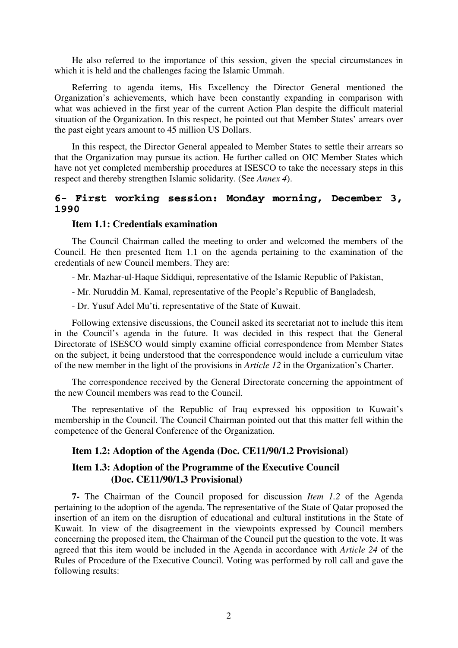He also referred to the importance of this session, given the special circumstances in which it is held and the challenges facing the Islamic Ummah.

Referring to agenda items, His Excellency the Director General mentioned the Organization's achievements, which have been constantly expanding in comparison with what was achieved in the first year of the current Action Plan despite the difficult material situation of the Organization. In this respect, he pointed out that Member States' arrears over the past eight years amount to 45 million US Dollars.

In this respect, the Director General appealed to Member States to settle their arrears so that the Organization may pursue its action. He further called on OIC Member States which have not yet completed membership procedures at ISESCO to take the necessary steps in this respect and thereby strengthen Islamic solidarity. (See *Annex 4*).

# **6- First working session: Monday morning, December 3, 1990**

# **Item 1.1: Credentials examination**

The Council Chairman called the meeting to order and welcomed the members of the Council. He then presented Item 1.1 on the agenda pertaining to the examination of the credentials of new Council members. They are:

- Mr. Mazhar-ul-Haque Siddiqui, representative of the Islamic Republic of Pakistan,

- Mr. Nuruddin M. Kamal, representative of the People's Republic of Bangladesh,

- Dr. Yusuf Adel Mu'ti, representative of the State of Kuwait.

Following extensive discussions, the Council asked its secretariat not to include this item in the Council's agenda in the future. It was decided in this respect that the General Directorate of ISESCO would simply examine official correspondence from Member States on the subject, it being understood that the correspondence would include a curriculum vitae of the new member in the light of the provisions in *Article 12* in the Organization's Charter.

The correspondence received by the General Directorate concerning the appointment of the new Council members was read to the Council.

The representative of the Republic of Iraq expressed his opposition to Kuwait's membership in the Council. The Council Chairman pointed out that this matter fell within the competence of the General Conference of the Organization.

#### **Item 1.2: Adoption of the Agenda (Doc. CE11/90/1.2 Provisional)**

# **Item 1.3: Adoption of the Programme of the Executive Council (Doc. CE11/90/1.3 Provisional)**

**7-** The Chairman of the Council proposed for discussion *Item 1.2* of the Agenda pertaining to the adoption of the agenda. The representative of the State of Qatar proposed the insertion of an item on the disruption of educational and cultural institutions in the State of Kuwait. In view of the disagreement in the viewpoints expressed by Council members concerning the proposed item, the Chairman of the Council put the question to the vote. It was agreed that this item would be included in the Agenda in accordance with *Article 24* of the Rules of Procedure of the Executive Council. Voting was performed by roll call and gave the following results: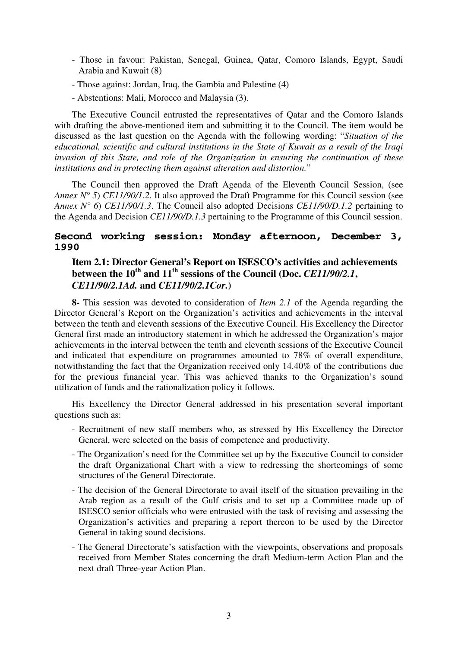- Those in favour: Pakistan, Senegal, Guinea, Qatar, Comoro Islands, Egypt, Saudi Arabia and Kuwait (8)
- Those against: Jordan, Iraq, the Gambia and Palestine (4)
- Abstentions: Mali, Morocco and Malaysia (3).

The Executive Council entrusted the representatives of Qatar and the Comoro Islands with drafting the above-mentioned item and submitting it to the Council. The item would be discussed as the last question on the Agenda with the following wording: "*Situation of the educational, scientific and cultural institutions in the State of Kuwait as a result of the Iraqi invasion of this State, and role of the Organization in ensuring the continuation of these institutions and in protecting them against alteration and distortion.*"

The Council then approved the Draft Agenda of the Eleventh Council Session, (see *Annex N° 5*) *CE11/90/1.2*. It also approved the Draft Programme for this Council session (see *Annex N° 6*) *CE11/90/1.3*. The Council also adopted Decisions *CE11/90/D.1.2* pertaining to the Agenda and Decision *CE11/90/D.1.3* pertaining to the Programme of this Council session.

# **Second working session: Monday afternoon, December 3, 1990**

# **Item 2.1: Director General's Report on ISESCO's activities and achievements between the 10th and 11th sessions of the Council (Doc.** *CE11/90/2.1***,**  *CE11/90/2.1Ad.* **and** *CE11/90/2.1Cor.***)**

**8-** This session was devoted to consideration of *Item 2.1* of the Agenda regarding the Director General's Report on the Organization's activities and achievements in the interval between the tenth and eleventh sessions of the Executive Council. His Excellency the Director General first made an introductory statement in which he addressed the Organization's major achievements in the interval between the tenth and eleventh sessions of the Executive Council and indicated that expenditure on programmes amounted to 78% of overall expenditure, notwithstanding the fact that the Organization received only 14.40% of the contributions due for the previous financial year. This was achieved thanks to the Organization's sound utilization of funds and the rationalization policy it follows.

His Excellency the Director General addressed in his presentation several important questions such as:

- Recruitment of new staff members who, as stressed by His Excellency the Director General, were selected on the basis of competence and productivity.
- The Organization's need for the Committee set up by the Executive Council to consider the draft Organizational Chart with a view to redressing the shortcomings of some structures of the General Directorate.
- The decision of the General Directorate to avail itself of the situation prevailing in the Arab region as a result of the Gulf crisis and to set up a Committee made up of ISESCO senior officials who were entrusted with the task of revising and assessing the Organization's activities and preparing a report thereon to be used by the Director General in taking sound decisions.
- The General Directorate's satisfaction with the viewpoints, observations and proposals received from Member States concerning the draft Medium-term Action Plan and the next draft Three-year Action Plan.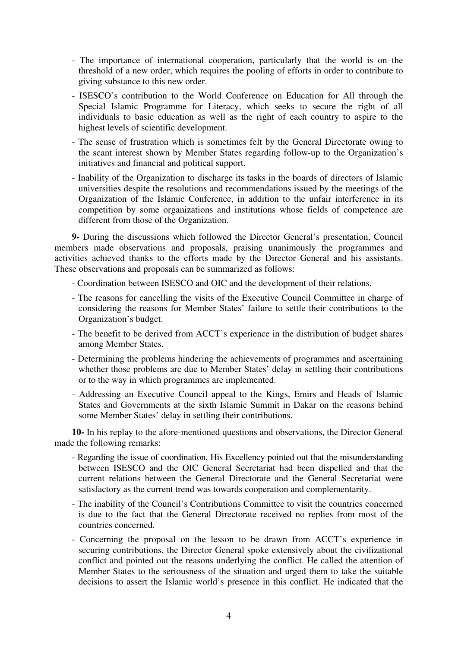- The importance of international cooperation, particularly that the world is on the threshold of a new order, which requires the pooling of efforts in order to contribute to giving substance to this new order.
- ISESCO's contribution to the World Conference on Education for All through the Special Islamic Programme for Literacy, which seeks to secure the right of all individuals to basic education as well as the right of each country to aspire to the highest levels of scientific development.
- The sense of frustration which is sometimes felt by the General Directorate owing to the scant interest shown by Member States regarding follow-up to the Organization's initiatives and financial and political support.
- Inability of the Organization to discharge its tasks in the boards of directors of Islamic universities despite the resolutions and recommendations issued by the meetings of the Organization of the Islamic Conference, in addition to the unfair interference in its competition by some organizations and institutions whose fields of competence are different from those of the Organization.

**9-** During the discussions which followed the Director General's presentation, Council members made observations and proposals, praising unanimously the programmes and activities achieved thanks to the efforts made by the Director General and his assistants. These observations and proposals can be summarized as follows:

- Coordination between ISESCO and OIC and the development of their relations.
- The reasons for cancelling the visits of the Executive Council Committee in charge of considering the reasons for Member States' failure to settle their contributions to the Organization's budget.
- The benefit to be derived from ACCT's experience in the distribution of budget shares among Member States.
- Determining the problems hindering the achievements of programmes and ascertaining whether those problems are due to Member States' delay in settling their contributions or to the way in which programmes are implemented.
- Addressing an Executive Council appeal to the Kings, Emirs and Heads of Islamic States and Governments at the sixth Islamic Summit in Dakar on the reasons behind some Member States' delay in settling their contributions.

**10-** In his replay to the afore-mentioned questions and observations, the Director General made the following remarks:

- Regarding the issue of coordination, His Excellency pointed out that the misunderstanding between ISESCO and the OIC General Secretariat had been dispelled and that the current relations between the General Directorate and the General Secretariat were satisfactory as the current trend was towards cooperation and complementarity.
- The inability of the Council's Contributions Committee to visit the countries concerned is due to the fact that the General Directorate received no replies from most of the countries concerned.
- Concerning the proposal on the lesson to be drawn from ACCT's experience in securing contributions, the Director General spoke extensively about the civilizational conflict and pointed out the reasons underlying the conflict. He called the attention of Member States to the seriousness of the situation and urged them to take the suitable decisions to assert the Islamic world's presence in this conflict. He indicated that the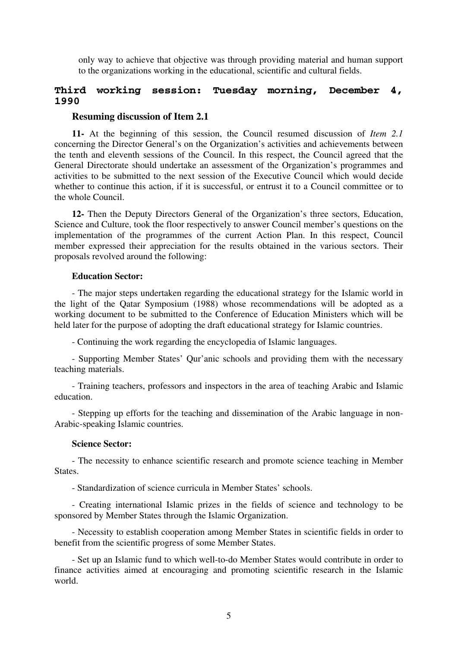only way to achieve that objective was through providing material and human support to the organizations working in the educational, scientific and cultural fields.

# **Third working session: Tuesday morning, December 4, 1990**

#### **Resuming discussion of Item 2.1**

**11-** At the beginning of this session, the Council resumed discussion of *Item 2.1* concerning the Director General's on the Organization's activities and achievements between the tenth and eleventh sessions of the Council. In this respect, the Council agreed that the General Directorate should undertake an assessment of the Organization's programmes and activities to be submitted to the next session of the Executive Council which would decide whether to continue this action, if it is successful, or entrust it to a Council committee or to the whole Council.

**12-** Then the Deputy Directors General of the Organization's three sectors, Education, Science and Culture, took the floor respectively to answer Council member's questions on the implementation of the programmes of the current Action Plan. In this respect, Council member expressed their appreciation for the results obtained in the various sectors. Their proposals revolved around the following:

#### **Education Sector:**

- The major steps undertaken regarding the educational strategy for the Islamic world in the light of the Qatar Symposium (1988) whose recommendations will be adopted as a working document to be submitted to the Conference of Education Ministers which will be held later for the purpose of adopting the draft educational strategy for Islamic countries.

- Continuing the work regarding the encyclopedia of Islamic languages.

- Supporting Member States' Qur'anic schools and providing them with the necessary teaching materials.

- Training teachers, professors and inspectors in the area of teaching Arabic and Islamic education.

- Stepping up efforts for the teaching and dissemination of the Arabic language in non-Arabic-speaking Islamic countries.

#### **Science Sector:**

- The necessity to enhance scientific research and promote science teaching in Member States.

- Standardization of science curricula in Member States' schools.

- Creating international Islamic prizes in the fields of science and technology to be sponsored by Member States through the Islamic Organization.

- Necessity to establish cooperation among Member States in scientific fields in order to benefit from the scientific progress of some Member States.

- Set up an Islamic fund to which well-to-do Member States would contribute in order to finance activities aimed at encouraging and promoting scientific research in the Islamic world.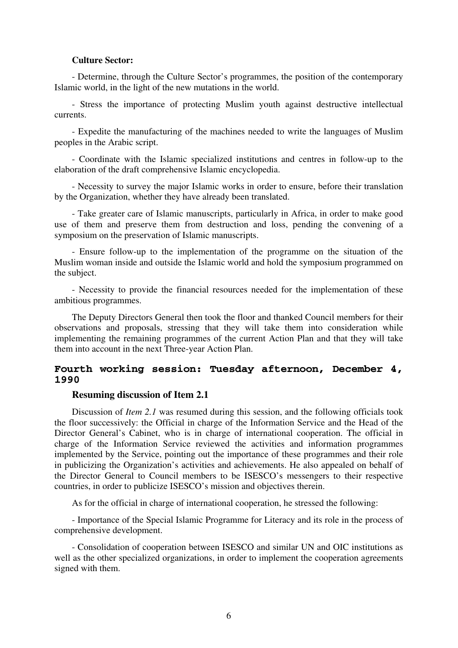#### **Culture Sector:**

- Determine, through the Culture Sector's programmes, the position of the contemporary Islamic world, in the light of the new mutations in the world.

- Stress the importance of protecting Muslim youth against destructive intellectual currents.

- Expedite the manufacturing of the machines needed to write the languages of Muslim peoples in the Arabic script.

- Coordinate with the Islamic specialized institutions and centres in follow-up to the elaboration of the draft comprehensive Islamic encyclopedia.

- Necessity to survey the major Islamic works in order to ensure, before their translation by the Organization, whether they have already been translated.

- Take greater care of Islamic manuscripts, particularly in Africa, in order to make good use of them and preserve them from destruction and loss, pending the convening of a symposium on the preservation of Islamic manuscripts.

- Ensure follow-up to the implementation of the programme on the situation of the Muslim woman inside and outside the Islamic world and hold the symposium programmed on the subject.

- Necessity to provide the financial resources needed for the implementation of these ambitious programmes.

The Deputy Directors General then took the floor and thanked Council members for their observations and proposals, stressing that they will take them into consideration while implementing the remaining programmes of the current Action Plan and that they will take them into account in the next Three-year Action Plan.

# **Fourth working session: Tuesday afternoon, December 4, 1990**

# **Resuming discussion of Item 2.1**

Discussion of *Item 2.1* was resumed during this session, and the following officials took the floor successively: the Official in charge of the Information Service and the Head of the Director General's Cabinet, who is in charge of international cooperation. The official in charge of the Information Service reviewed the activities and information programmes implemented by the Service, pointing out the importance of these programmes and their role in publicizing the Organization's activities and achievements. He also appealed on behalf of the Director General to Council members to be ISESCO's messengers to their respective countries, in order to publicize ISESCO's mission and objectives therein.

As for the official in charge of international cooperation, he stressed the following:

- Importance of the Special Islamic Programme for Literacy and its role in the process of comprehensive development.

- Consolidation of cooperation between ISESCO and similar UN and OIC institutions as well as the other specialized organizations, in order to implement the cooperation agreements signed with them.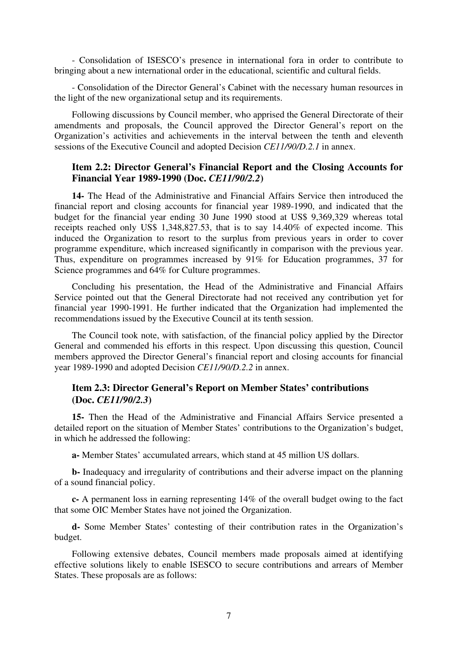- Consolidation of ISESCO's presence in international fora in order to contribute to bringing about a new international order in the educational, scientific and cultural fields.

- Consolidation of the Director General's Cabinet with the necessary human resources in the light of the new organizational setup and its requirements.

Following discussions by Council member, who apprised the General Directorate of their amendments and proposals, the Council approved the Director General's report on the Organization's activities and achievements in the interval between the tenth and eleventh sessions of the Executive Council and adopted Decision *CE11/90/D.2.1* in annex.

# **Item 2.2: Director General's Financial Report and the Closing Accounts for Financial Year 1989-1990 (Doc.** *CE11/90/2.2***)**

**14-** The Head of the Administrative and Financial Affairs Service then introduced the financial report and closing accounts for financial year 1989-1990, and indicated that the budget for the financial year ending 30 June 1990 stood at US\$ 9,369,329 whereas total receipts reached only US\$ 1,348,827.53, that is to say 14.40% of expected income. This induced the Organization to resort to the surplus from previous years in order to cover programme expenditure, which increased significantly in comparison with the previous year. Thus, expenditure on programmes increased by 91% for Education programmes, 37 for Science programmes and  $64\%$  for Culture programmes.

Concluding his presentation, the Head of the Administrative and Financial Affairs Service pointed out that the General Directorate had not received any contribution yet for financial year 1990-1991. He further indicated that the Organization had implemented the recommendations issued by the Executive Council at its tenth session.

The Council took note, with satisfaction, of the financial policy applied by the Director General and commended his efforts in this respect. Upon discussing this question, Council members approved the Director General's financial report and closing accounts for financial year 1989-1990 and adopted Decision *CE11/90/D.2.2* in annex.

# **Item 2.3: Director General's Report on Member States' contributions (Doc.** *CE11/90/2.3***)**

**15-** Then the Head of the Administrative and Financial Affairs Service presented a detailed report on the situation of Member States' contributions to the Organization's budget, in which he addressed the following:

**a-** Member States' accumulated arrears, which stand at 45 million US dollars.

**b-** Inadequacy and irregularity of contributions and their adverse impact on the planning of a sound financial policy.

**c-** A permanent loss in earning representing 14% of the overall budget owing to the fact that some OIC Member States have not joined the Organization.

**d-** Some Member States' contesting of their contribution rates in the Organization's budget.

Following extensive debates, Council members made proposals aimed at identifying effective solutions likely to enable ISESCO to secure contributions and arrears of Member States. These proposals are as follows: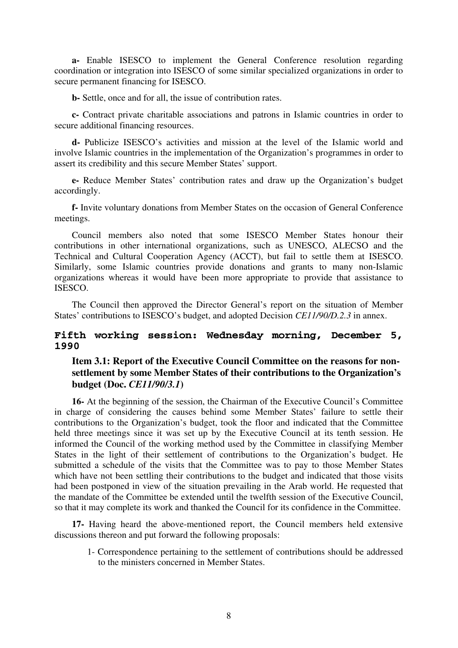**a-** Enable ISESCO to implement the General Conference resolution regarding coordination or integration into ISESCO of some similar specialized organizations in order to secure permanent financing for ISESCO.

**b-** Settle, once and for all, the issue of contribution rates.

**c-** Contract private charitable associations and patrons in Islamic countries in order to secure additional financing resources.

**d-** Publicize ISESCO's activities and mission at the level of the Islamic world and involve Islamic countries in the implementation of the Organization's programmes in order to assert its credibility and this secure Member States' support.

**e-** Reduce Member States' contribution rates and draw up the Organization's budget accordingly.

**f-** Invite voluntary donations from Member States on the occasion of General Conference meetings.

Council members also noted that some ISESCO Member States honour their contributions in other international organizations, such as UNESCO, ALECSO and the Technical and Cultural Cooperation Agency (ACCT), but fail to settle them at ISESCO. Similarly, some Islamic countries provide donations and grants to many non-Islamic organizations whereas it would have been more appropriate to provide that assistance to ISESCO.

The Council then approved the Director General's report on the situation of Member States' contributions to ISESCO's budget, and adopted Decision *CE11/90/D.2.3* in annex.

# **Fifth working session: Wednesday morning, December 5, 1990**

# **Item 3.1: Report of the Executive Council Committee on the reasons for nonsettlement by some Member States of their contributions to the Organization's budget (Doc.** *CE11/90/3.1***)**

**16-** At the beginning of the session, the Chairman of the Executive Council's Committee in charge of considering the causes behind some Member States' failure to settle their contributions to the Organization's budget, took the floor and indicated that the Committee held three meetings since it was set up by the Executive Council at its tenth session. He informed the Council of the working method used by the Committee in classifying Member States in the light of their settlement of contributions to the Organization's budget. He submitted a schedule of the visits that the Committee was to pay to those Member States which have not been settling their contributions to the budget and indicated that those visits had been postponed in view of the situation prevailing in the Arab world. He requested that the mandate of the Committee be extended until the twelfth session of the Executive Council, so that it may complete its work and thanked the Council for its confidence in the Committee.

**17-** Having heard the above-mentioned report, the Council members held extensive discussions thereon and put forward the following proposals:

1- Correspondence pertaining to the settlement of contributions should be addressed to the ministers concerned in Member States.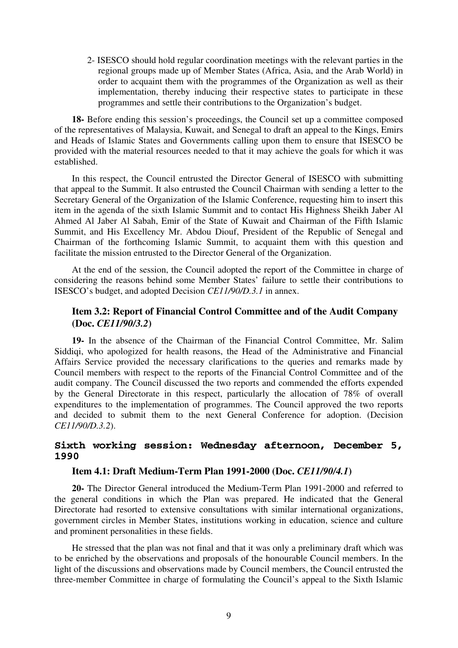2- ISESCO should hold regular coordination meetings with the relevant parties in the regional groups made up of Member States (Africa, Asia, and the Arab World) in order to acquaint them with the programmes of the Organization as well as their implementation, thereby inducing their respective states to participate in these programmes and settle their contributions to the Organization's budget.

**18-** Before ending this session's proceedings, the Council set up a committee composed of the representatives of Malaysia, Kuwait, and Senegal to draft an appeal to the Kings, Emirs and Heads of Islamic States and Governments calling upon them to ensure that ISESCO be provided with the material resources needed to that it may achieve the goals for which it was established.

In this respect, the Council entrusted the Director General of ISESCO with submitting that appeal to the Summit. It also entrusted the Council Chairman with sending a letter to the Secretary General of the Organization of the Islamic Conference, requesting him to insert this item in the agenda of the sixth Islamic Summit and to contact His Highness Sheikh Jaber Al Ahmed Al Jaber Al Sabah, Emir of the State of Kuwait and Chairman of the Fifth Islamic Summit, and His Excellency Mr. Abdou Diouf, President of the Republic of Senegal and Chairman of the forthcoming Islamic Summit, to acquaint them with this question and facilitate the mission entrusted to the Director General of the Organization.

At the end of the session, the Council adopted the report of the Committee in charge of considering the reasons behind some Member States' failure to settle their contributions to ISESCO's budget, and adopted Decision *CE11/90/D.3.1* in annex.

# **Item 3.2: Report of Financial Control Committee and of the Audit Company (Doc.** *CE11/90/3.2***)**

**19-** In the absence of the Chairman of the Financial Control Committee, Mr. Salim Siddiqi, who apologized for health reasons, the Head of the Administrative and Financial Affairs Service provided the necessary clarifications to the queries and remarks made by Council members with respect to the reports of the Financial Control Committee and of the audit company. The Council discussed the two reports and commended the efforts expended by the General Directorate in this respect, particularly the allocation of 78% of overall expenditures to the implementation of programmes. The Council approved the two reports and decided to submit them to the next General Conference for adoption. (Decision *CE11/90/D.3.2*).

# **Sixth working session: Wednesday afternoon, December 5, 1990**

# **Item 4.1: Draft Medium-Term Plan 1991-2000 (Doc.** *CE11/90/4.1***)**

**20-** The Director General introduced the Medium-Term Plan 1991-2000 and referred to the general conditions in which the Plan was prepared. He indicated that the General Directorate had resorted to extensive consultations with similar international organizations, government circles in Member States, institutions working in education, science and culture and prominent personalities in these fields.

He stressed that the plan was not final and that it was only a preliminary draft which was to be enriched by the observations and proposals of the honourable Council members. In the light of the discussions and observations made by Council members, the Council entrusted the three-member Committee in charge of formulating the Council's appeal to the Sixth Islamic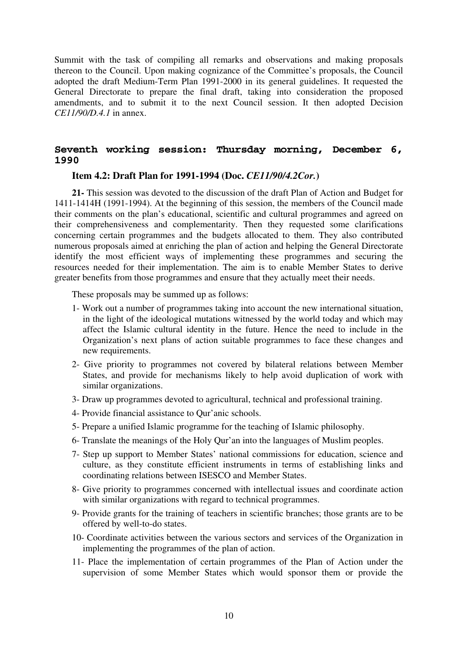Summit with the task of compiling all remarks and observations and making proposals thereon to the Council. Upon making cognizance of the Committee's proposals, the Council adopted the draft Medium-Term Plan 1991-2000 in its general guidelines. It requested the General Directorate to prepare the final draft, taking into consideration the proposed amendments, and to submit it to the next Council session. It then adopted Decision *CE11/90/D.4.1* in annex.

# **Seventh working session: Thursday morning, December 6, 1990**

# **Item 4.2: Draft Plan for 1991-1994 (Doc.** *CE11/90/4.2Cor.***)**

**21-** This session was devoted to the discussion of the draft Plan of Action and Budget for 1411-1414H (1991-1994). At the beginning of this session, the members of the Council made their comments on the plan's educational, scientific and cultural programmes and agreed on their comprehensiveness and complementarity. Then they requested some clarifications concerning certain programmes and the budgets allocated to them. They also contributed numerous proposals aimed at enriching the plan of action and helping the General Directorate identify the most efficient ways of implementing these programmes and securing the resources needed for their implementation. The aim is to enable Member States to derive greater benefits from those programmes and ensure that they actually meet their needs.

These proposals may be summed up as follows:

- 1- Work out a number of programmes taking into account the new international situation, in the light of the ideological mutations witnessed by the world today and which may affect the Islamic cultural identity in the future. Hence the need to include in the Organization's next plans of action suitable programmes to face these changes and new requirements.
- 2- Give priority to programmes not covered by bilateral relations between Member States, and provide for mechanisms likely to help avoid duplication of work with similar organizations.
- 3- Draw up programmes devoted to agricultural, technical and professional training.
- 4- Provide financial assistance to Qur'anic schools.
- 5- Prepare a unified Islamic programme for the teaching of Islamic philosophy.
- 6- Translate the meanings of the Holy Qur'an into the languages of Muslim peoples.
- 7- Step up support to Member States' national commissions for education, science and culture, as they constitute efficient instruments in terms of establishing links and coordinating relations between ISESCO and Member States.
- 8- Give priority to programmes concerned with intellectual issues and coordinate action with similar organizations with regard to technical programmes.
- 9- Provide grants for the training of teachers in scientific branches; those grants are to be offered by well-to-do states.
- 10- Coordinate activities between the various sectors and services of the Organization in implementing the programmes of the plan of action.
- 11- Place the implementation of certain programmes of the Plan of Action under the supervision of some Member States which would sponsor them or provide the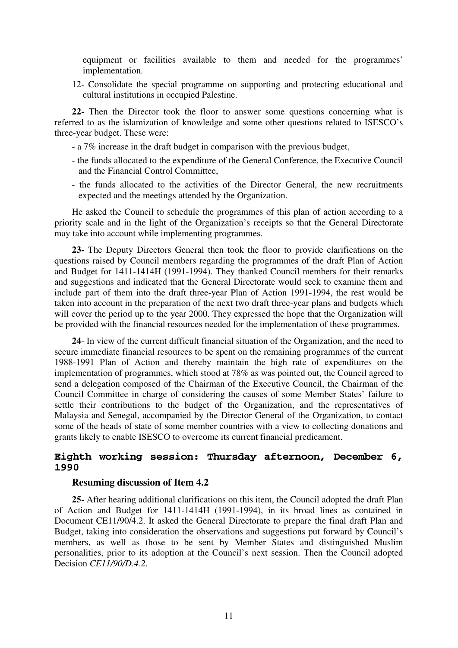equipment or facilities available to them and needed for the programmes' implementation.

12- Consolidate the special programme on supporting and protecting educational and cultural institutions in occupied Palestine.

**22-** Then the Director took the floor to answer some questions concerning what is referred to as the islamization of knowledge and some other questions related to ISESCO's three-year budget. These were:

- a 7% increase in the draft budget in comparison with the previous budget,
- the funds allocated to the expenditure of the General Conference, the Executive Council and the Financial Control Committee,
- the funds allocated to the activities of the Director General, the new recruitments expected and the meetings attended by the Organization.

He asked the Council to schedule the programmes of this plan of action according to a priority scale and in the light of the Organization's receipts so that the General Directorate may take into account while implementing programmes.

**23-** The Deputy Directors General then took the floor to provide clarifications on the questions raised by Council members regarding the programmes of the draft Plan of Action and Budget for 1411-1414H (1991-1994). They thanked Council members for their remarks and suggestions and indicated that the General Directorate would seek to examine them and include part of them into the draft three-year Plan of Action 1991-1994, the rest would be taken into account in the preparation of the next two draft three-year plans and budgets which will cover the period up to the year 2000. They expressed the hope that the Organization will be provided with the financial resources needed for the implementation of these programmes.

**24**- In view of the current difficult financial situation of the Organization, and the need to secure immediate financial resources to be spent on the remaining programmes of the current 1988-1991 Plan of Action and thereby maintain the high rate of expenditures on the implementation of programmes, which stood at 78% as was pointed out, the Council agreed to send a delegation composed of the Chairman of the Executive Council, the Chairman of the Council Committee in charge of considering the causes of some Member States' failure to settle their contributions to the budget of the Organization, and the representatives of Malaysia and Senegal, accompanied by the Director General of the Organization, to contact some of the heads of state of some member countries with a view to collecting donations and grants likely to enable ISESCO to overcome its current financial predicament.

# **Eighth working session: Thursday afternoon, December 6, 1990**

#### **Resuming discussion of Item 4.2**

**25-** After hearing additional clarifications on this item, the Council adopted the draft Plan of Action and Budget for 1411-1414H (1991-1994), in its broad lines as contained in Document CE11/90/4.2. It asked the General Directorate to prepare the final draft Plan and Budget, taking into consideration the observations and suggestions put forward by Council's members, as well as those to be sent by Member States and distinguished Muslim personalities, prior to its adoption at the Council's next session. Then the Council adopted Decision *CE11/90/D.4.2*.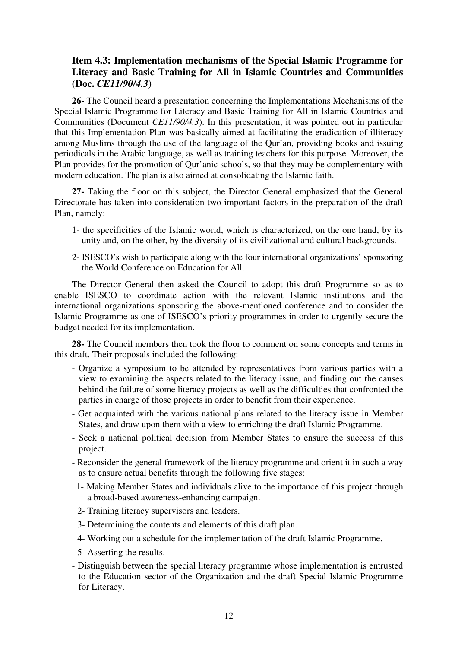# **Item 4.3: Implementation mechanisms of the Special Islamic Programme for Literacy and Basic Training for All in Islamic Countries and Communities (Doc.** *CE11/90/4.3***)**

**26-** The Council heard a presentation concerning the Implementations Mechanisms of the Special Islamic Programme for Literacy and Basic Training for All in Islamic Countries and Communities (Document *CE11/90/4.3*). In this presentation, it was pointed out in particular that this Implementation Plan was basically aimed at facilitating the eradication of illiteracy among Muslims through the use of the language of the Qur'an, providing books and issuing periodicals in the Arabic language, as well as training teachers for this purpose. Moreover, the Plan provides for the promotion of Qur'anic schools, so that they may be complementary with modern education. The plan is also aimed at consolidating the Islamic faith.

**27-** Taking the floor on this subject, the Director General emphasized that the General Directorate has taken into consideration two important factors in the preparation of the draft Plan, namely:

- 1- the specificities of the Islamic world, which is characterized, on the one hand, by its unity and, on the other, by the diversity of its civilizational and cultural backgrounds.
- 2- ISESCO's wish to participate along with the four international organizations' sponsoring the World Conference on Education for All.

The Director General then asked the Council to adopt this draft Programme so as to enable ISESCO to coordinate action with the relevant Islamic institutions and the international organizations sponsoring the above-mentioned conference and to consider the Islamic Programme as one of ISESCO's priority programmes in order to urgently secure the budget needed for its implementation.

**28-** The Council members then took the floor to comment on some concepts and terms in this draft. Their proposals included the following:

- Organize a symposium to be attended by representatives from various parties with a view to examining the aspects related to the literacy issue, and finding out the causes behind the failure of some literacy projects as well as the difficulties that confronted the parties in charge of those projects in order to benefit from their experience.
- Get acquainted with the various national plans related to the literacy issue in Member States, and draw upon them with a view to enriching the draft Islamic Programme.
- Seek a national political decision from Member States to ensure the success of this project.
- Reconsider the general framework of the literacy programme and orient it in such a way as to ensure actual benefits through the following five stages:
	- 1- Making Member States and individuals alive to the importance of this project through a broad-based awareness-enhancing campaign.
	- 2- Training literacy supervisors and leaders.
	- 3- Determining the contents and elements of this draft plan.
	- 4- Working out a schedule for the implementation of the draft Islamic Programme.
	- 5- Asserting the results.
- Distinguish between the special literacy programme whose implementation is entrusted to the Education sector of the Organization and the draft Special Islamic Programme for Literacy.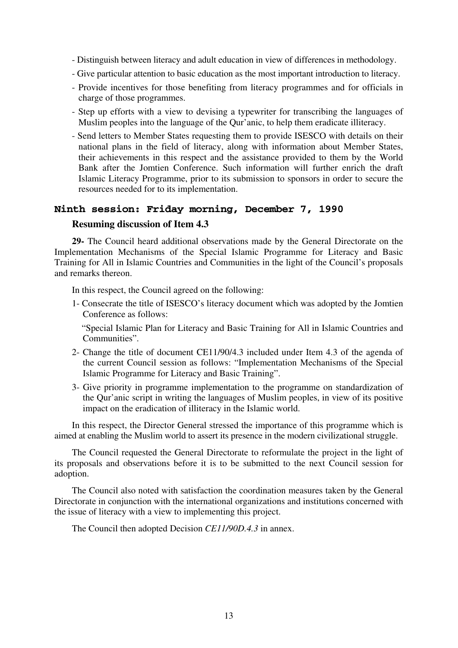- Distinguish between literacy and adult education in view of differences in methodology.
- Give particular attention to basic education as the most important introduction to literacy.
- Provide incentives for those benefiting from literacy programmes and for officials in charge of those programmes.
- Step up efforts with a view to devising a typewriter for transcribing the languages of Muslim peoples into the language of the Qur'anic, to help them eradicate illiteracy.
- Send letters to Member States requesting them to provide ISESCO with details on their national plans in the field of literacy, along with information about Member States, their achievements in this respect and the assistance provided to them by the World Bank after the Jomtien Conference. Such information will further enrich the draft Islamic Literacy Programme, prior to its submission to sponsors in order to secure the resources needed for to its implementation.

# **Ninth session: Friday morning, December 7, 1990**

#### **Resuming discussion of Item 4.3**

**29-** The Council heard additional observations made by the General Directorate on the Implementation Mechanisms of the Special Islamic Programme for Literacy and Basic Training for All in Islamic Countries and Communities in the light of the Council's proposals and remarks thereon.

In this respect, the Council agreed on the following:

1- Consecrate the title of ISESCO's literacy document which was adopted by the Jomtien Conference as follows:

"Special Islamic Plan for Literacy and Basic Training for All in Islamic Countries and Communities".

- 2- Change the title of document CE11/90/4.3 included under Item 4.3 of the agenda of the current Council session as follows: "Implementation Mechanisms of the Special Islamic Programme for Literacy and Basic Training".
- 3- Give priority in programme implementation to the programme on standardization of the Qur'anic script in writing the languages of Muslim peoples, in view of its positive impact on the eradication of illiteracy in the Islamic world.

In this respect, the Director General stressed the importance of this programme which is aimed at enabling the Muslim world to assert its presence in the modern civilizational struggle.

The Council requested the General Directorate to reformulate the project in the light of its proposals and observations before it is to be submitted to the next Council session for adoption.

The Council also noted with satisfaction the coordination measures taken by the General Directorate in conjunction with the international organizations and institutions concerned with the issue of literacy with a view to implementing this project.

The Council then adopted Decision *CE11/90D.4.3* in annex.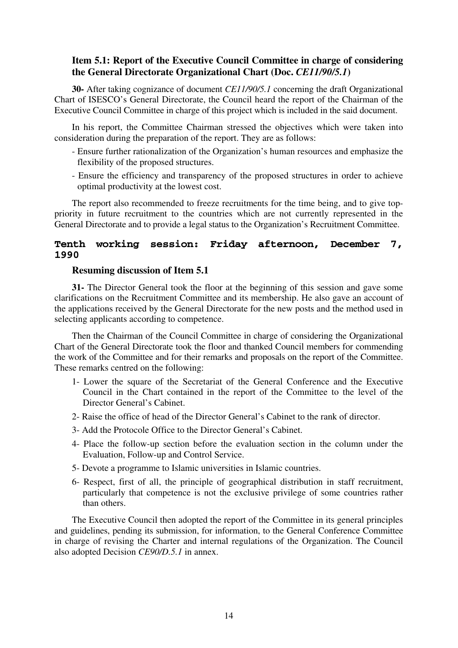# **Item 5.1: Report of the Executive Council Committee in charge of considering the General Directorate Organizational Chart (Doc.** *CE11/90/5.1***)**

**30-** After taking cognizance of document *CE11/90/5.1* concerning the draft Organizational Chart of ISESCO's General Directorate, the Council heard the report of the Chairman of the Executive Council Committee in charge of this project which is included in the said document.

In his report, the Committee Chairman stressed the objectives which were taken into consideration during the preparation of the report. They are as follows:

- Ensure further rationalization of the Organization's human resources and emphasize the flexibility of the proposed structures.
- Ensure the efficiency and transparency of the proposed structures in order to achieve optimal productivity at the lowest cost.

The report also recommended to freeze recruitments for the time being, and to give toppriority in future recruitment to the countries which are not currently represented in the General Directorate and to provide a legal status to the Organization's Recruitment Committee.

# **Tenth working session: Friday afternoon, December 7, 1990**

# **Resuming discussion of Item 5.1**

**31-** The Director General took the floor at the beginning of this session and gave some clarifications on the Recruitment Committee and its membership. He also gave an account of the applications received by the General Directorate for the new posts and the method used in selecting applicants according to competence.

Then the Chairman of the Council Committee in charge of considering the Organizational Chart of the General Directorate took the floor and thanked Council members for commending the work of the Committee and for their remarks and proposals on the report of the Committee. These remarks centred on the following:

- 1- Lower the square of the Secretariat of the General Conference and the Executive Council in the Chart contained in the report of the Committee to the level of the Director General's Cabinet.
- 2- Raise the office of head of the Director General's Cabinet to the rank of director.
- 3- Add the Protocole Office to the Director General's Cabinet.
- 4- Place the follow-up section before the evaluation section in the column under the Evaluation, Follow-up and Control Service.
- 5- Devote a programme to Islamic universities in Islamic countries.
- 6- Respect, first of all, the principle of geographical distribution in staff recruitment, particularly that competence is not the exclusive privilege of some countries rather than others.

The Executive Council then adopted the report of the Committee in its general principles and guidelines, pending its submission, for information, to the General Conference Committee in charge of revising the Charter and internal regulations of the Organization. The Council also adopted Decision *CE90/D.5.1* in annex.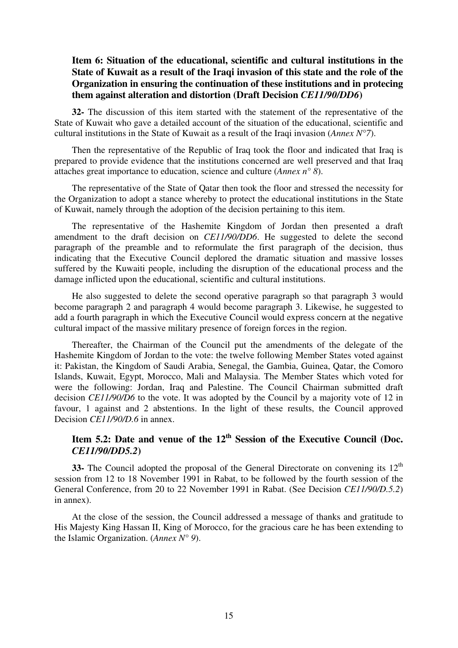# **Item 6: Situation of the educational, scientific and cultural institutions in the State of Kuwait as a result of the Iraqi invasion of this state and the role of the Organization in ensuring the continuation of these institutions and in protecing them against alteration and distortion (Draft Decision** *CE11/90/DD6***)**

**32-** The discussion of this item started with the statement of the representative of the State of Kuwait who gave a detailed account of the situation of the educational, scientific and cultural institutions in the State of Kuwait as a result of the Iraqi invasion (*Annex N°7*).

Then the representative of the Republic of Iraq took the floor and indicated that Iraq is prepared to provide evidence that the institutions concerned are well preserved and that Iraq attaches great importance to education, science and culture (*Annex n° 8*).

The representative of the State of Qatar then took the floor and stressed the necessity for the Organization to adopt a stance whereby to protect the educational institutions in the State of Kuwait, namely through the adoption of the decision pertaining to this item.

The representative of the Hashemite Kingdom of Jordan then presented a draft amendment to the draft decision on *CE11/90/DD6*. He suggested to delete the second paragraph of the preamble and to reformulate the first paragraph of the decision, thus indicating that the Executive Council deplored the dramatic situation and massive losses suffered by the Kuwaiti people, including the disruption of the educational process and the damage inflicted upon the educational, scientific and cultural institutions.

He also suggested to delete the second operative paragraph so that paragraph 3 would become paragraph 2 and paragraph 4 would become paragraph 3. Likewise, he suggested to add a fourth paragraph in which the Executive Council would express concern at the negative cultural impact of the massive military presence of foreign forces in the region.

Thereafter, the Chairman of the Council put the amendments of the delegate of the Hashemite Kingdom of Jordan to the vote: the twelve following Member States voted against it: Pakistan, the Kingdom of Saudi Arabia, Senegal, the Gambia, Guinea, Qatar, the Comoro Islands, Kuwait, Egypt, Morocco, Mali and Malaysia. The Member States which voted for were the following: Jordan, Iraq and Palestine. The Council Chairman submitted draft decision *CE11/90/D6* to the vote. It was adopted by the Council by a majority vote of 12 in favour, 1 against and 2 abstentions. In the light of these results, the Council approved Decision *CE11/90/D.6* in annex.

# **Item 5.2: Date and venue of the 12th Session of the Executive Council (Doc.**  *CE11/90/DD5.2***)**

**33-** The Council adopted the proposal of the General Directorate on convening its 12<sup>th</sup> session from 12 to 18 November 1991 in Rabat, to be followed by the fourth session of the General Conference, from 20 to 22 November 1991 in Rabat. (See Decision *CE11/90/D.5.2*) in annex).

At the close of the session, the Council addressed a message of thanks and gratitude to His Majesty King Hassan II, King of Morocco, for the gracious care he has been extending to the Islamic Organization. (*Annex N° 9*).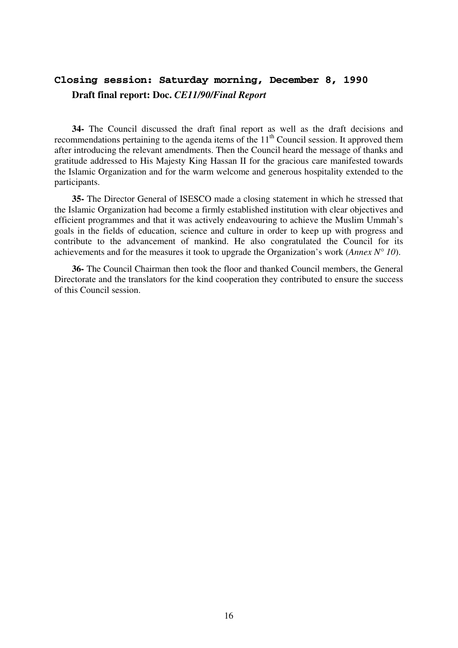# **Closing session: Saturday morning, December 8, 1990 Draft final report: Doc.** *CE11/90/Final Report*

**34-** The Council discussed the draft final report as well as the draft decisions and recommendations pertaining to the agenda items of the  $11<sup>th</sup>$  Council session. It approved them after introducing the relevant amendments. Then the Council heard the message of thanks and gratitude addressed to His Majesty King Hassan II for the gracious care manifested towards the Islamic Organization and for the warm welcome and generous hospitality extended to the participants.

**35-** The Director General of ISESCO made a closing statement in which he stressed that the Islamic Organization had become a firmly established institution with clear objectives and efficient programmes and that it was actively endeavouring to achieve the Muslim Ummah's goals in the fields of education, science and culture in order to keep up with progress and contribute to the advancement of mankind. He also congratulated the Council for its achievements and for the measures it took to upgrade the Organization's work (*Annex N° 10*).

**36-** The Council Chairman then took the floor and thanked Council members, the General Directorate and the translators for the kind cooperation they contributed to ensure the success of this Council session.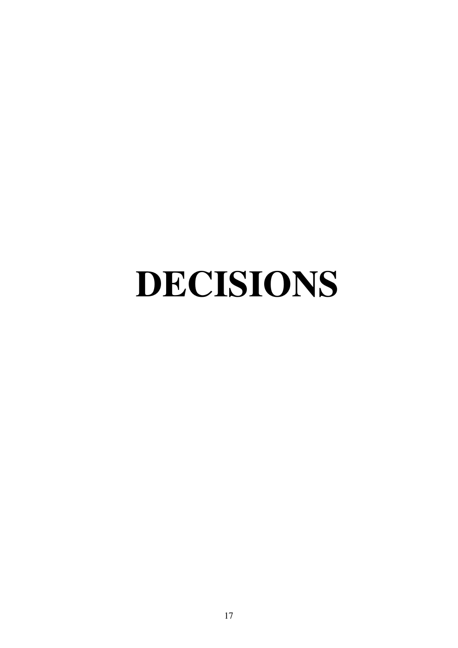# **DECISIONS**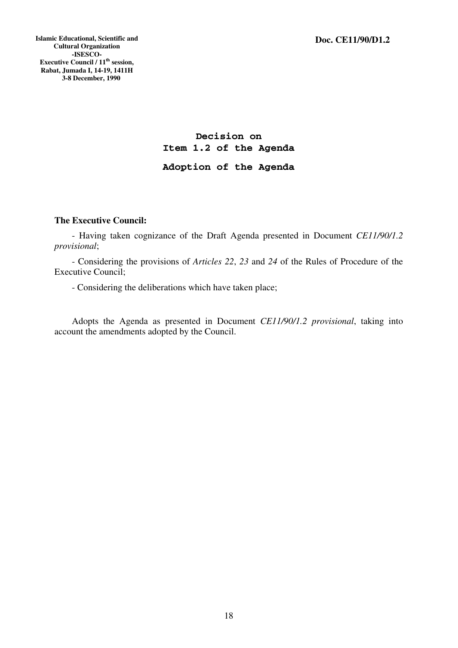**Islamic Educational, Scientific and Cultural Organization -ISESCO-Executive Council / 11<sup>th</sup> session, Rabat, Jumada I, 14-19, 1411H 3-8 December, 1990** 

> **Decision on Item 1.2 of the Agenda Adoption of the Agenda**

# **The Executive Council:**

- Having taken cognizance of the Draft Agenda presented in Document *CE11/90/1.2 provisional*;

- Considering the provisions of *Articles 22*, *23* and *24* of the Rules of Procedure of the Executive Council;

- Considering the deliberations which have taken place;

Adopts the Agenda as presented in Document *CE11/90/1.2 provisional*, taking into account the amendments adopted by the Council.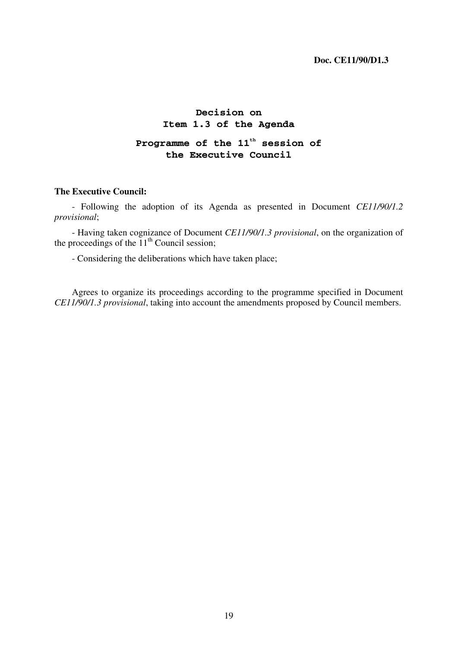# **Decision on Item 1.3 of the Agenda**

# **Programme of the 11th session of the Executive Council**

# **The Executive Council:**

- Following the adoption of its Agenda as presented in Document *CE11/90/1.2 provisional*;

- Having taken cognizance of Document *CE11/90/1.3 provisional*, on the organization of the proceedings of the  $11<sup>th</sup>$  Council session;

- Considering the deliberations which have taken place;

Agrees to organize its proceedings according to the programme specified in Document *CE11/90/1.3 provisional*, taking into account the amendments proposed by Council members.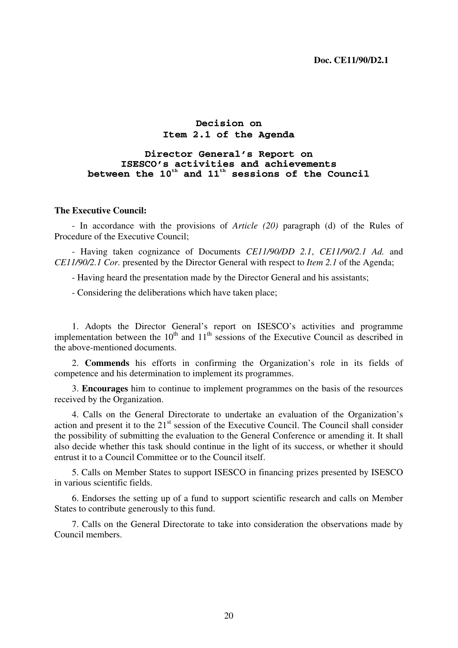# **Decision on Item 2.1 of the Agenda**

# **Director General's Report on ISESCO's activities and achievements between the 10th and 11th sessions of the Council**

#### **The Executive Council:**

- In accordance with the provisions of *Article (20)* paragraph (d) of the Rules of Procedure of the Executive Council;

- Having taken cognizance of Documents *CE11/90/DD 2.1*, *CE11/90/2.1 Ad.* and *CE11/90/2.1 Cor.* presented by the Director General with respect to *Item 2.1* of the Agenda;

- Having heard the presentation made by the Director General and his assistants;

- Considering the deliberations which have taken place;

1. Adopts the Director General's report on ISESCO's activities and programme implementation between the  $10<sup>th</sup>$  and  $11<sup>th</sup>$  sessions of the Executive Council as described in the above-mentioned documents.

2. **Commends** his efforts in confirming the Organization's role in its fields of competence and his determination to implement its programmes.

3. **Encourages** him to continue to implement programmes on the basis of the resources received by the Organization.

4. Calls on the General Directorate to undertake an evaluation of the Organization's action and present it to the 21<sup>st</sup> session of the Executive Council. The Council shall consider the possibility of submitting the evaluation to the General Conference or amending it. It shall also decide whether this task should continue in the light of its success, or whether it should entrust it to a Council Committee or to the Council itself.

5. Calls on Member States to support ISESCO in financing prizes presented by ISESCO in various scientific fields.

6. Endorses the setting up of a fund to support scientific research and calls on Member States to contribute generously to this fund.

7. Calls on the General Directorate to take into consideration the observations made by Council members.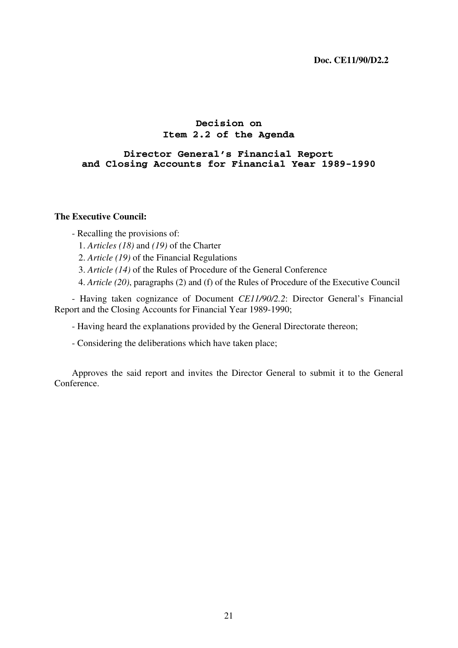# **Decision on Item 2.2 of the Agenda**

# **Director General's Financial Report and Closing Accounts for Financial Year 1989-1990**

#### **The Executive Council:**

- Recalling the provisions of:
	- 1. *Articles (18)* and *(19)* of the Charter
	- 2. *Article (19)* of the Financial Regulations
	- 3. *Article (14)* of the Rules of Procedure of the General Conference
	- 4. *Article (20)*, paragraphs (2) and (f) of the Rules of Procedure of the Executive Council

- Having taken cognizance of Document *CE11/90/2.2*: Director General's Financial Report and the Closing Accounts for Financial Year 1989-1990;

- Having heard the explanations provided by the General Directorate thereon;

- Considering the deliberations which have taken place;

Approves the said report and invites the Director General to submit it to the General Conference.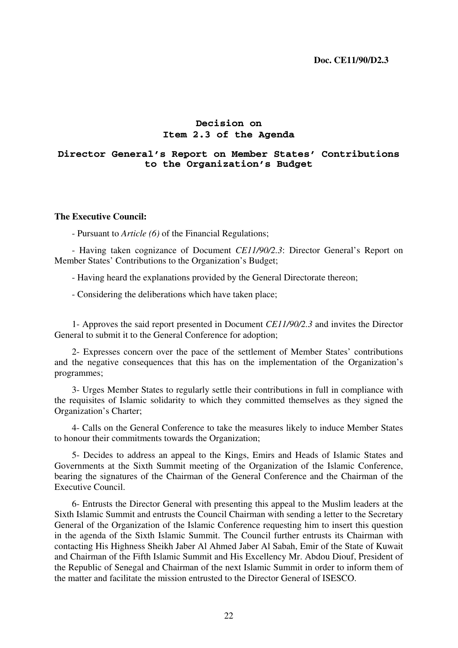# **Decision on Item 2.3 of the Agenda**

# **Director General's Report on Member States' Contributions to the Organization's Budget**

#### **The Executive Council:**

- Pursuant to *Article (6)* of the Financial Regulations;

- Having taken cognizance of Document *CE11/90/2.3*: Director General's Report on Member States' Contributions to the Organization's Budget;

- Having heard the explanations provided by the General Directorate thereon;

- Considering the deliberations which have taken place;

1- Approves the said report presented in Document *CE11/90/2.3* and invites the Director General to submit it to the General Conference for adoption;

2- Expresses concern over the pace of the settlement of Member States' contributions and the negative consequences that this has on the implementation of the Organization's programmes;

3- Urges Member States to regularly settle their contributions in full in compliance with the requisites of Islamic solidarity to which they committed themselves as they signed the Organization's Charter;

4- Calls on the General Conference to take the measures likely to induce Member States to honour their commitments towards the Organization;

5- Decides to address an appeal to the Kings, Emirs and Heads of Islamic States and Governments at the Sixth Summit meeting of the Organization of the Islamic Conference, bearing the signatures of the Chairman of the General Conference and the Chairman of the Executive Council.

6- Entrusts the Director General with presenting this appeal to the Muslim leaders at the Sixth Islamic Summit and entrusts the Council Chairman with sending a letter to the Secretary General of the Organization of the Islamic Conference requesting him to insert this question in the agenda of the Sixth Islamic Summit. The Council further entrusts its Chairman with contacting His Highness Sheikh Jaber Al Ahmed Jaber Al Sabah, Emir of the State of Kuwait and Chairman of the Fifth Islamic Summit and His Excellency Mr. Abdou Diouf, President of the Republic of Senegal and Chairman of the next Islamic Summit in order to inform them of the matter and facilitate the mission entrusted to the Director General of ISESCO.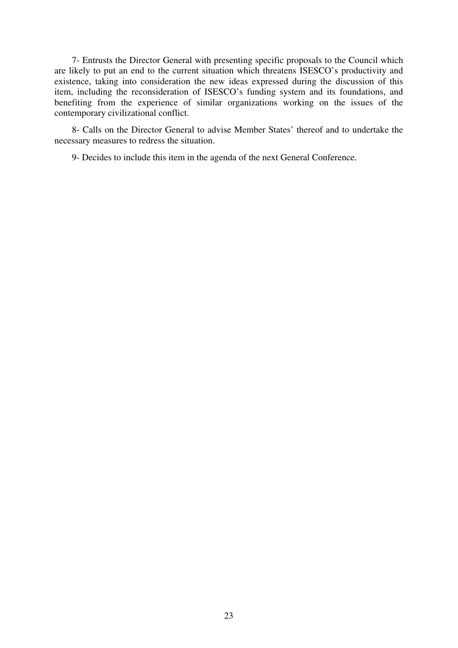7- Entrusts the Director General with presenting specific proposals to the Council which are likely to put an end to the current situation which threatens ISESCO's productivity and existence, taking into consideration the new ideas expressed during the discussion of this item, including the reconsideration of ISESCO's funding system and its foundations, and benefiting from the experience of similar organizations working on the issues of the contemporary civilizational conflict.

8- Calls on the Director General to advise Member States' thereof and to undertake the necessary measures to redress the situation.

9- Decides to include this item in the agenda of the next General Conference.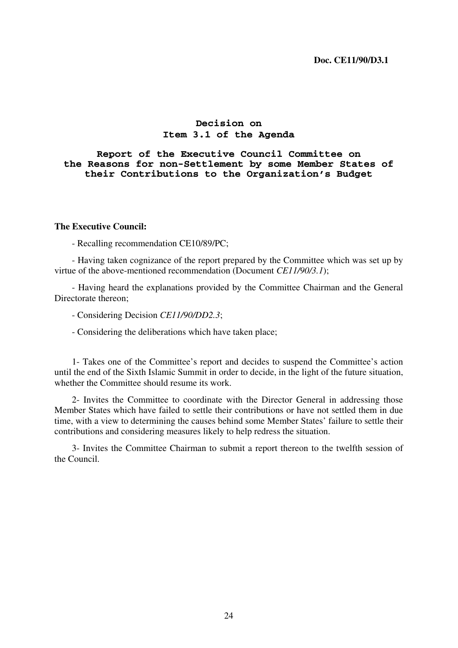# **Decision on Item 3.1 of the Agenda**

**Report of the Executive Council Committee on the Reasons for non-Settlement by some Member States of their Contributions to the Organization's Budget** 

#### **The Executive Council:**

- Recalling recommendation CE10/89/PC;

- Having taken cognizance of the report prepared by the Committee which was set up by virtue of the above-mentioned recommendation (Document *CE11/90/3.1*);

- Having heard the explanations provided by the Committee Chairman and the General Directorate thereon;

- Considering Decision *CE11/90/DD2.3*;

- Considering the deliberations which have taken place;

1- Takes one of the Committee's report and decides to suspend the Committee's action until the end of the Sixth Islamic Summit in order to decide, in the light of the future situation, whether the Committee should resume its work.

2- Invites the Committee to coordinate with the Director General in addressing those Member States which have failed to settle their contributions or have not settled them in due time, with a view to determining the causes behind some Member States' failure to settle their contributions and considering measures likely to help redress the situation.

3- Invites the Committee Chairman to submit a report thereon to the twelfth session of the Council.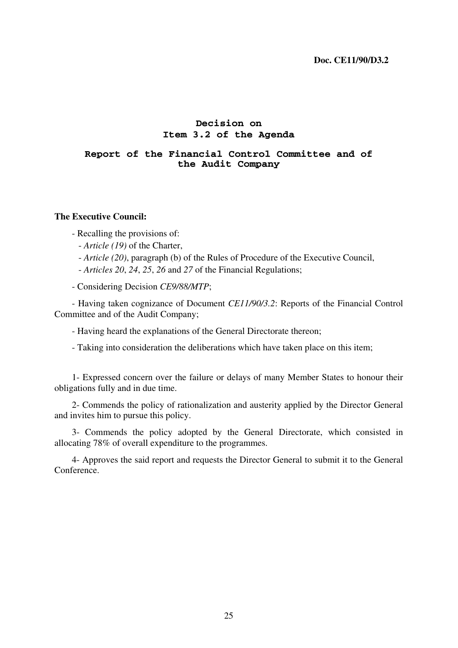# **Decision on Item 3.2 of the Agenda**

# **Report of the Financial Control Committee and of the Audit Company**

# **The Executive Council:**

- Recalling the provisions of:

- *Article (19)* of the Charter,
- *Article (20)*, paragraph (b) of the Rules of Procedure of the Executive Council,

- *Articles 20*, *24*, *25*, *26* and *27* of the Financial Regulations;

- Considering Decision *CE9/88/MTP*;

- Having taken cognizance of Document *CE11/90/3.2*: Reports of the Financial Control Committee and of the Audit Company;

- Having heard the explanations of the General Directorate thereon;

- Taking into consideration the deliberations which have taken place on this item;

1- Expressed concern over the failure or delays of many Member States to honour their obligations fully and in due time.

2- Commends the policy of rationalization and austerity applied by the Director General and invites him to pursue this policy.

3- Commends the policy adopted by the General Directorate, which consisted in allocating 78% of overall expenditure to the programmes.

4- Approves the said report and requests the Director General to submit it to the General Conference.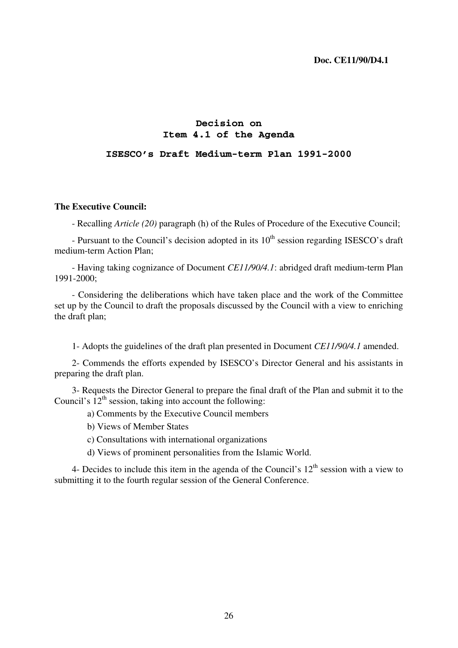# **Decision on Item 4.1 of the Agenda**

# **ISESCO's Draft Medium-term Plan 1991-2000**

#### **The Executive Council:**

- Recalling *Article (20)* paragraph (h) of the Rules of Procedure of the Executive Council;

- Pursuant to the Council's decision adopted in its  $10<sup>th</sup>$  session regarding ISESCO's draft medium-term Action Plan;

- Having taking cognizance of Document *CE11/90/4.1*: abridged draft medium-term Plan 1991-2000;

- Considering the deliberations which have taken place and the work of the Committee set up by the Council to draft the proposals discussed by the Council with a view to enriching the draft plan;

1- Adopts the guidelines of the draft plan presented in Document *CE11/90/4.1* amended.

2- Commends the efforts expended by ISESCO's Director General and his assistants in preparing the draft plan.

3- Requests the Director General to prepare the final draft of the Plan and submit it to the Council's  $12<sup>th</sup>$  session, taking into account the following:

a) Comments by the Executive Council members

- b) Views of Member States
- c) Consultations with international organizations
- d) Views of prominent personalities from the Islamic World.

4- Decides to include this item in the agenda of the Council's  $12<sup>th</sup>$  session with a view to submitting it to the fourth regular session of the General Conference.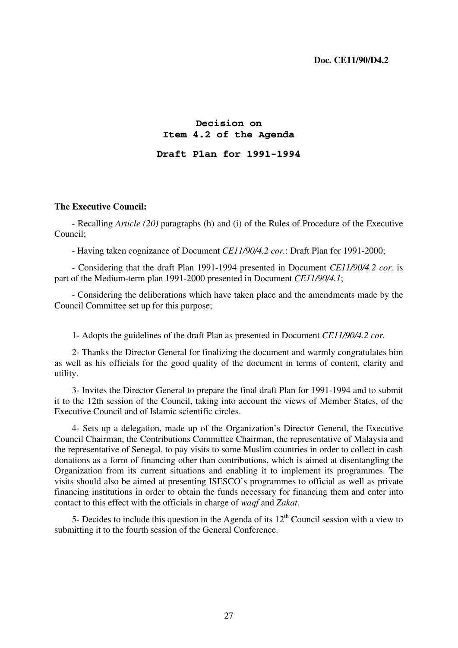# **Decision on Item 4.2 of the Agenda Draft Plan for 1991-1994**

# **The Executive Council:**

- Recalling *Article (20)* paragraphs (h) and (i) of the Rules of Procedure of the Executive Council;

- Having taken cognizance of Document *CE11/90/4.2 cor.*: Draft Plan for 1991-2000;

- Considering that the draft Plan 1991-1994 presented in Document *CE11/90/4.2 cor.* is part of the Medium-term plan 1991-2000 presented in Document *CE11/90/4.1*;

- Considering the deliberations which have taken place and the amendments made by the Council Committee set up for this purpose;

1- Adopts the guidelines of the draft Plan as presented in Document *CE11/90/4.2 cor.*

2- Thanks the Director General for finalizing the document and warmly congratulates him as well as his officials for the good quality of the document in terms of content, clarity and utility.

3- Invites the Director General to prepare the final draft Plan for 1991-1994 and to submit it to the 12th session of the Council, taking into account the views of Member States, of the Executive Council and of Islamic scientific circles.

4- Sets up a delegation, made up of the Organization's Director General, the Executive Council Chairman, the Contributions Committee Chairman, the representative of Malaysia and the representative of Senegal, to pay visits to some Muslim countries in order to collect in cash donations as a form of financing other than contributions, which is aimed at disentangling the Organization from its current situations and enabling it to implement its programmes. The visits should also be aimed at presenting ISESCO's programmes to official as well as private financing institutions in order to obtain the funds necessary for financing them and enter into contact to this effect with the officials in charge of *waqf* and *Zakat*.

5- Decides to include this question in the Agenda of its  $12<sup>th</sup>$  Council session with a view to submitting it to the fourth session of the General Conference.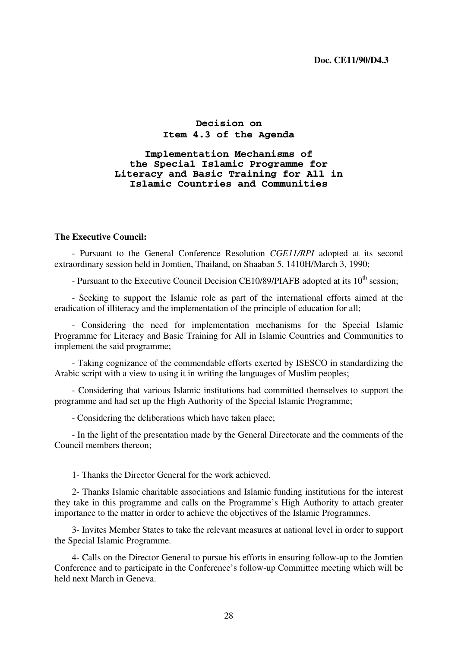# **Decision on Item 4.3 of the Agenda**

**Implementation Mechanisms of the Special Islamic Programme for Literacy and Basic Training for All in Islamic Countries and Communities** 

#### **The Executive Council:**

- Pursuant to the General Conference Resolution *CGE11/RPI* adopted at its second extraordinary session held in Jomtien, Thailand, on Shaaban 5, 1410H/March 3, 1990;

- Pursuant to the Executive Council Decision CE10/89/PIAFB adopted at its  $10^{th}$  session:

- Seeking to support the Islamic role as part of the international efforts aimed at the eradication of illiteracy and the implementation of the principle of education for all;

- Considering the need for implementation mechanisms for the Special Islamic Programme for Literacy and Basic Training for All in Islamic Countries and Communities to implement the said programme;

- Taking cognizance of the commendable efforts exerted by ISESCO in standardizing the Arabic script with a view to using it in writing the languages of Muslim peoples;

- Considering that various Islamic institutions had committed themselves to support the programme and had set up the High Authority of the Special Islamic Programme;

- Considering the deliberations which have taken place;

- In the light of the presentation made by the General Directorate and the comments of the Council members thereon;

1- Thanks the Director General for the work achieved.

2- Thanks Islamic charitable associations and Islamic funding institutions for the interest they take in this programme and calls on the Programme's High Authority to attach greater importance to the matter in order to achieve the objectives of the Islamic Programmes.

3- Invites Member States to take the relevant measures at national level in order to support the Special Islamic Programme.

4- Calls on the Director General to pursue his efforts in ensuring follow-up to the Jomtien Conference and to participate in the Conference's follow-up Committee meeting which will be held next March in Geneva.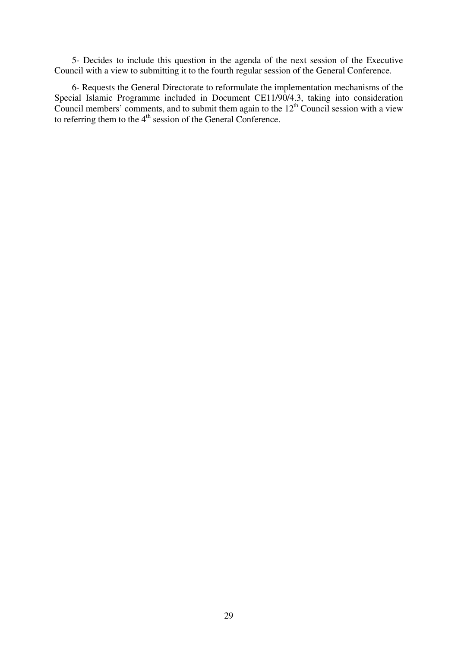5- Decides to include this question in the agenda of the next session of the Executive Council with a view to submitting it to the fourth regular session of the General Conference.

6- Requests the General Directorate to reformulate the implementation mechanisms of the Special Islamic Programme included in Document CE11/90/4.3, taking into consideration Council members' comments, and to submit them again to the  $12<sup>th</sup>$  Council session with a view to referring them to the  $4<sup>th</sup>$  session of the General Conference.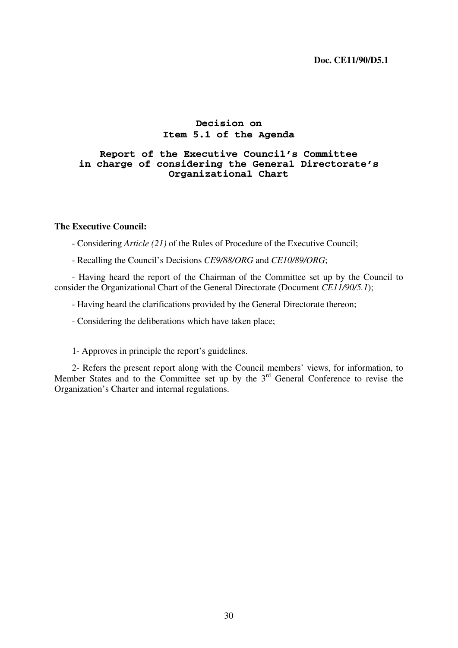# **Decision on Item 5.1 of the Agenda**

# **Report of the Executive Council's Committee in charge of considering the General Directorate's Organizational Chart**

#### **The Executive Council:**

- Considering *Article (21)* of the Rules of Procedure of the Executive Council;

- Recalling the Council's Decisions *CE9/88/ORG* and *CE10/89/ORG*;

- Having heard the report of the Chairman of the Committee set up by the Council to consider the Organizational Chart of the General Directorate (Document *CE11/90/5.1*);

- Having heard the clarifications provided by the General Directorate thereon;

- Considering the deliberations which have taken place;

1- Approves in principle the report's guidelines.

2- Refers the present report along with the Council members' views, for information, to Member States and to the Committee set up by the  $3<sup>rd</sup>$  General Conference to revise the Organization's Charter and internal regulations.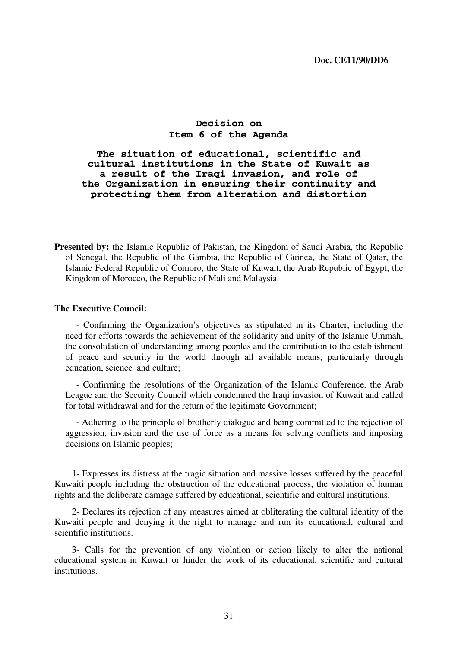# **Decision on Item 6 of the Agenda**

**The situation of educational, scientific and cultural institutions in the State of Kuwait as a result of the Iraqi invasion, and role of the Organization in ensuring their continuity and protecting them from alteration and distortion** 

**Presented by:** the Islamic Republic of Pakistan, the Kingdom of Saudi Arabia, the Republic of Senegal, the Republic of the Gambia, the Republic of Guinea, the State of Qatar, the Islamic Federal Republic of Comoro, the State of Kuwait, the Arab Republic of Egypt, the Kingdom of Morocco, the Republic of Mali and Malaysia.

#### **The Executive Council:**

- Confirming the Organization's objectives as stipulated in its Charter, including the need for efforts towards the achievement of the solidarity and unity of the Islamic Ummah, the consolidation of understanding among peoples and the contribution to the establishment of peace and security in the world through all available means, particularly through education, science and culture;

- Confirming the resolutions of the Organization of the Islamic Conference, the Arab League and the Security Council which condemned the Iraqi invasion of Kuwait and called for total withdrawal and for the return of the legitimate Government;

- Adhering to the principle of brotherly dialogue and being committed to the rejection of aggression, invasion and the use of force as a means for solving conflicts and imposing decisions on Islamic peoples;

1- Expresses its distress at the tragic situation and massive losses suffered by the peaceful Kuwaiti people including the obstruction of the educational process, the violation of human rights and the deliberate damage suffered by educational, scientific and cultural institutions.

2- Declares its rejection of any measures aimed at obliterating the cultural identity of the Kuwaiti people and denying it the right to manage and run its educational, cultural and scientific institutions.

3- Calls for the prevention of any violation or action likely to alter the national educational system in Kuwait or hinder the work of its educational, scientific and cultural **institutions**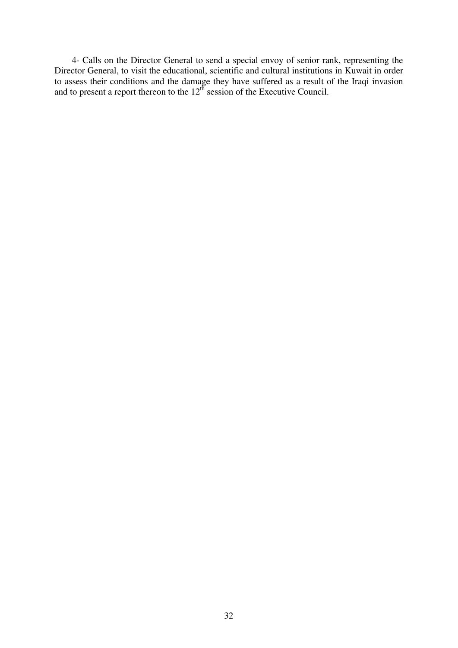4- Calls on the Director General to send a special envoy of senior rank, representing the Director General, to visit the educational, scientific and cultural institutions in Kuwait in order to assess their conditions and the damage they have suffered as a result of the Iraqi invasion and to present a report thereon to the  $12<sup>th</sup>$  session of the Executive Council.